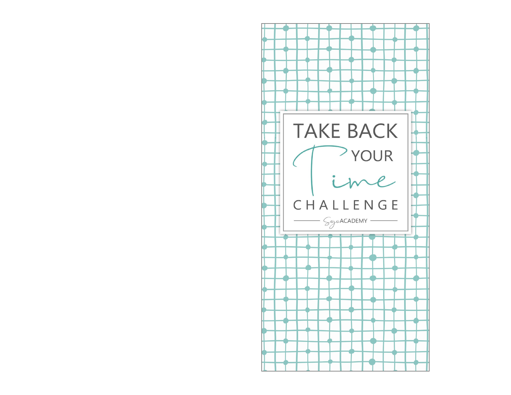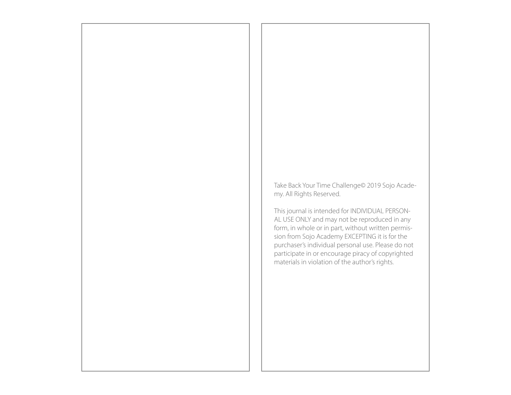Take Back Your Time Challenge© 2019 Sojo Academy. All Rights Reserved.

This journal is intended for INDIVIDUAL PERSON-AL USE ONLY and may not be reproduced in any form, in whole or in part, without written permission from Sojo Academy EXCEPTING it is for the purchaser's individual personal use. Please do not participate in or encourage piracy of copyrighted materials in violation of the author's rights.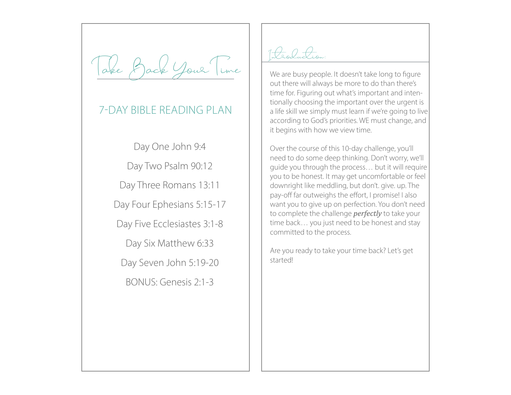ack Your Time

# 7-DAY BIBLE READING PLAN

Day One John 9:4 Day Two Psalm 90:12 Day Three Romans 13:11 Day Four Ephesians 5:15-17 Day Five Ecclesiastes 3:1-8 Day Six Matthew 6:33 Day Seven John 5:19-20 BONUS: Genesis 2:1-3

Introduction:

We are busy people. It doesn't take long to figure out there will always be more to do than there's time for. Figuring out what's important and intentionally choosing the important over the urgent is a life skill we simply must learn if we're going to live according to God's priorities. WE must change, and it begins with how we view time.

Over the course of this 10-day challenge, you'll need to do some deep thinking. Don't worry, we'll guide you through the process… but it will require you to be honest. It may get uncomfortable or feel downright like meddling, but don't. give. up. The pay-off far outweighs the effort, I promise! I also want you to give up on perfection. You don't need to complete the challenge *perfectly* to take your time back… you just need to be honest and stay committed to the process.

Are you ready to take your time back? Let's get started!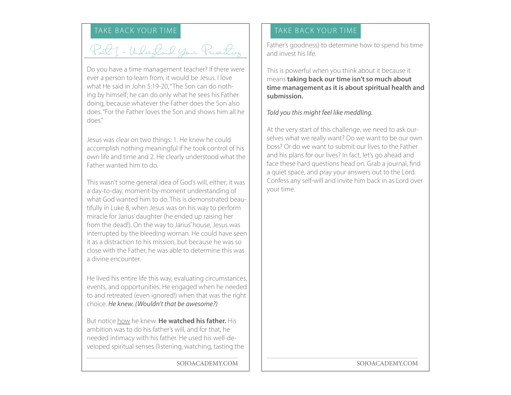# TAKE BACK YOUR TIME TAKE BACK YOUR TIME

Part I - Understand Your Priorities

Do you have a time management teacher? If there were ever a person to learn from, it would be Jesus. I love what He said in John 5:19-20, "The Son can do nothing by himself; he can do only what he sees his Father doing, because whatever the Father does the Son also does. "For the Father loves the Son and shows him all he  $d$ nes"

Jesus was clear on two things: 1. He knew he could accomplish nothing meaningful if he took control of his own life and time and 2. He clearly understood what the Father wanted him to do.

This wasn't some general idea of God's will, either; it was a day-to-day, moment-by-moment understanding of what God wanted him to do. This is demonstrated beautifully in Luke 8, when Jesus was on his way to perform miracle for Jarius' daughter (he ended up raising her from the dead!). On the way to Jarius' house, Jesus was interrupted by the bleeding woman. He could have seen it as a distraction to his mission, but because he was so close with the Father, he was able to determine this was a divine encounter.

He lived his entire life this way, evaluating circumstances, events, and opportunities. He engaged when he needed to and retreated (even ignored!) when that was the right choice. *He knew. (Wouldn't that be awesome?)* 

But notice how he knew. **He watched his father.** His ambition was to do his father's will, and for that, he needed intimacy with his father. He used his well-developed spiritual senses (listening, watching, tasting the

Father's goodness) to determine how to spend his time and invest his life.

This is powerful when you think about it because it means **taking back our time isn't so much about time management as it is about spiritual health and submission.** 

## *Told you this might feel like meddling.*

At the very start of this challenge, we need to ask ourselves what we really want? Do we want to be our own boss? Or do we want to submit our lives to the Father and his plans for our lives? In fact, let's go ahead and face these hard questions head on. Grab a journal, find a quiet space, and pray your answers out to the Lord. Confess any self-will and invite him back in as Lord over your time.

SOJOACADEMY.COM SOJOACADEMY.COM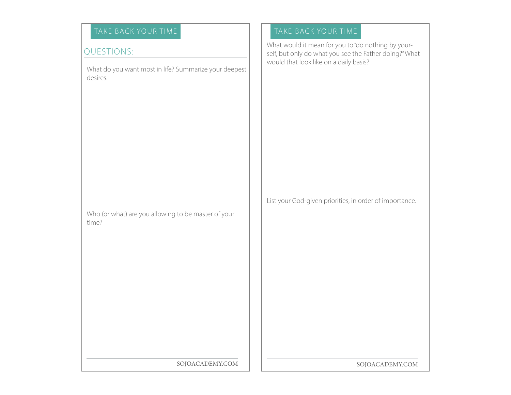# TAKE BACK YOUR TIME TAKE BACK YOUR TIME

# QUESTIONS:

What do you want most in life? Summarize your deepest desires.

Who (or what) are you allowing to be master of your time?

What would it mean for you to "do nothing by yourself, but only do what you see the Father doing?" What would that look like on a daily basis?

List your God-given priorities, in order of importance.

SOJOACADEMY.COM | | SOJOACADEMY.COM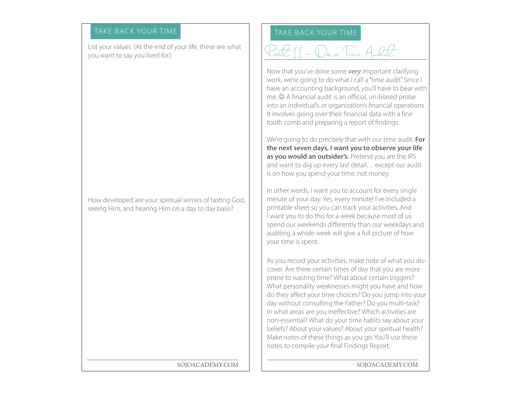# TAKE BACK YOUR TIME

List your values. (At the end of your life, these are what you want to say you lived for.)

How developed are your spiritual senses of tasting God, seeing Him, and hearing Him on a day to day basis?

## SOJOACADEMY.COM

# TAKE BACK YOUR TIME

# Part II - Do a Time Audit

Now that you've done some *very* important clarifying work, we're going to do what I call a "time audit." Since I have an accounting background, you'll have to bear with  $me.  $\odot$  A financial audit is an official, un-biased probe$ into an individual's or organization's financial operations. It involves going over their financial data with a fine tooth comb and preparing a report of findings.

We're going to do precisely that with our time audit. **For the next seven days, I want you to observe your life as you would an outsider's.** Pretend you are the IRS and want to dig up every last detail… except our audit is on how you spend your time, not money.

In other words, I want you to account for every single minute of your day. Yes, every minute! I've included a printable sheet so you can track your activities. And I want you to do this for a week because most of us spend our weekends differently than our weekdays and auditing a whole week will give a full picture of how your time is spent.

As you record your activities, make note of what you discover. Are there certain times of day that you are more prone to wasting time? What about certain triggers? What personality weaknesses might you have and how do they affect your time choices? Do you jump into your day without consulting the Father? Do you multi-task? In what areas are you ineffective? Which activities are non-essential? What do your time habits say about your beliefs? About your values? About your spiritual health? Make notes of these things as you go. You'll use these notes to compile your final Findings Report.

SOJOACADEMY.COM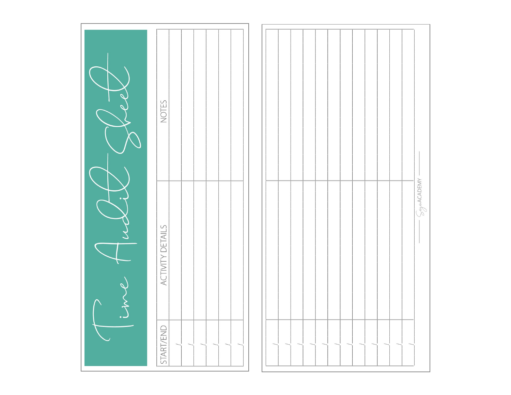| $\sqrt{\frac{1}{\rho}}$ | NOTES                   |                    |
|-------------------------|-------------------------|--------------------|
|                         | <b>ACTIVITY DETAILS</b> | $\wedge$ AC ADENAV |
| $\cdot$                 | <b>START/END</b>        |                    |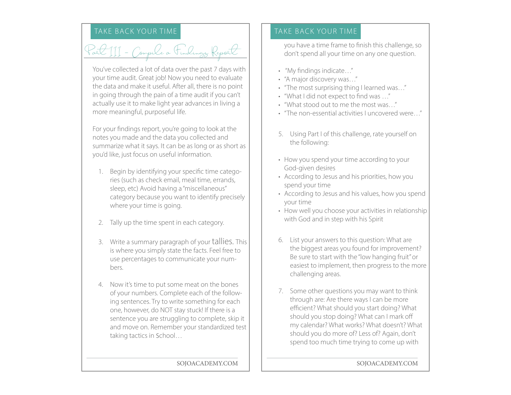Part III - Compile a Findings Report

You've collected a lot of data over the past 7 days with your time audit. Great job! Now you need to evaluate the data and make it useful. After all, there is no point in going through the pain of a time audit if you can't actually use it to make light year advances in living a more meaningful, purposeful life.

For your findings report, you're going to look at the notes you made and the data you collected and summarize what it says. It can be as long or as short as you'd like, just focus on useful information.

- 1. Begin by identifying your specific time categories (such as check email, meal time, errands, sleep, etc) Avoid having a "miscellaneous" category because you want to identify precisely where your time is going.
- 2. Tally up the time spent in each category.
- 3. Write a summary paragraph of your tallies. This is where you simply state the facts. Feel free to use percentages to communicate your numbers.
- 4. Now it's time to put some meat on the bones of your numbers. Complete each of the following sentences. Try to write something for each one, however, do NOT stay stuck! If there is a sentence you are struggling to complete, skip it and move on. Remember your standardized test taking tactics in school…

# TAKE BACK YOUR TIME TAKE BACK YOUR TIME

you have a time frame to finish this challenge, so don't spend all your time on any one question.

- "My findings indicate…"
- "A major discovery was…"
- "The most surprising thing I learned was…"
- "What I did not expect to find was …"
- "What stood out to me the most was…"
- "The non-essential activities I uncovered were…"
- 5. Using Part I of this challenge, rate yourself on the following:
- How you spend your time according to your God-given desires
- According to Jesus and his priorities, how you spend your time
- According to Jesus and his values, how you spend your time
- How well you choose your activities in relationship with God and in step with his Spirit
- 6. List your answers to this question: What are the biggest areas you found for improvement? Be sure to start with the "low hanging fruit" or easiest to implement, then progress to the more challenging areas.
- 7. Some other questions you may want to think through are: Are there ways I can be more efficient? What should you start doing? What should you stop doing? What can I mark off my calendar? What works? What doesn't? What should you do more of? Less of? Again, don't spend too much time trying to come up with

SOJOACADEMY.COM | | SOJOACADEMY.COM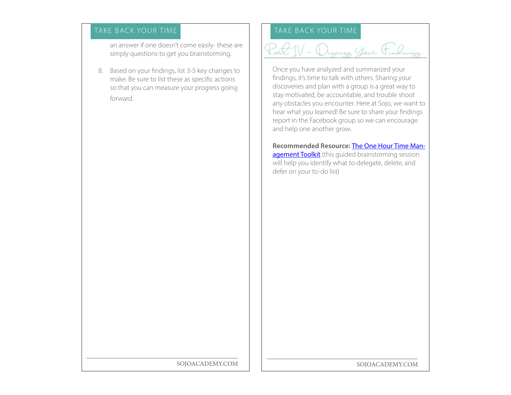an answer if one doesn't come easily- these are simply questions to get you brainstorming.

8. Based on your findings, list 3-5 key changes to make. Be sure to list these as specific actions so that you can measure your progress going forward.

# TAKE BACK YOUR TIME TAKE BACK YOUR TIME



Once you have analyzed and summarized your findings, it's time to talk with others. Sharing your discoveries and plan with a group is a great way to stay motivated, be accountable, and trouble shoot any obstacles you encounter. Here at Sojo, we want to hear what you learned! Be sure to share your findings report in the Facebook group so we can encourage and help one another grow.

**Recommended Resource:** [The One Hour Time Man](https://arabahjoystore.com/products/1-hour-time-management-toolkit)[agement Toolkit](https://arabahjoystore.com/products/1-hour-time-management-toolkit) (this guided brainstorming session will help you identify what to delegate, delete, and defer on your to-do list)

SOJOACADEMY.COM | | SOJOACADEMY.COM